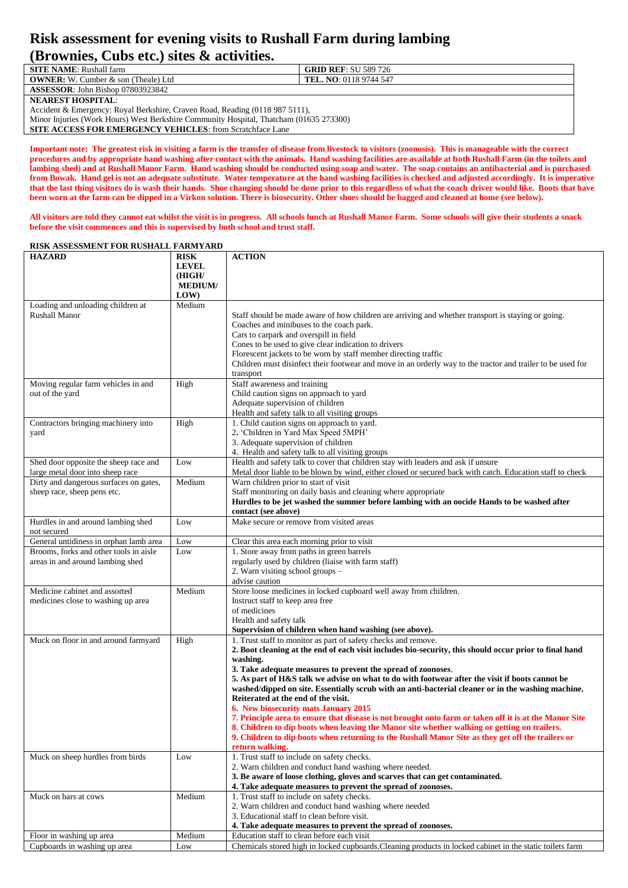## **Risk assessment for evening visits to Rushall Farm during lambing (Brownies, Cubs etc.) sites & activities.**

| <b>SITE NAME:</b> Rushall farm                                                         | <b>GRID REF: SU 589 726</b>   |  |
|----------------------------------------------------------------------------------------|-------------------------------|--|
| <b>OWNER:</b> W. Cumber & son (Theale) Ltd                                             | <b>TEL. NO:</b> 0118 9744 547 |  |
| <b>ASSESSOR: John Bishop 07803923842</b>                                               |                               |  |
| <b>NEAREST HOSPITAL:</b>                                                               |                               |  |
| Accident & Emergency: Royal Berkshire, Craven Road, Reading (0118 987 5111),           |                               |  |
| Minor Injuries (Work Hours) West Berkshire Community Hospital, Thatcham (01635 273300) |                               |  |
| <b>SITE ACCESS FOR EMERGENCY VEHICLES:</b> from Scratchface Lane                       |                               |  |

**Important note: The greatest risk in visiting a farm is the transfer of disease from livestock to visitors (zoonosis). This is manageable with the correct procedures and by appropriate hand washing after contact with the animals. Hand washing facilities are available at both Rushall Farm (in the toilets and lambing shed) and at Rushall Manor Farm. Hand washing should be conducted using soap and water. The soap contains an antibacterial and is purchased from Bowak. Hand gel is not an adequate substitute. Water temperature at the hand washing facilities is checked and adjusted accordingly. It is imperative that the last thing visitors do is wash their hands. Shoe changing should be done prior to this regardless of what the coach driver would like. Boots that have been worn at the farm can be dipped in a Virkon solution. There is biosecurity. Other shoes should be bagged and cleaned at home (see below).**

**All visitors are told they cannot eat whilst the visit is in progress. All schools lunch at Rushall Manor Farm. Some schools will give their students a snack before the visit commences and this is supervised by both school and trust staff.**

## **HAZARD RISK LEVEL (HIGH/ MEDIUM/ LOW) ACTION** Loading and unloading children at Rushall Manor Medium Staff should be made aware of how children are arriving and whether transport is staying or going. Coaches and minibuses to the coach park. Cars to carpark and overspill in field Cones to be used to give clear indication to drivers Florescent jackets to be worn by staff member directing traffic Children must disinfect their footwear and move in an orderly way to the tractor and trailer to be used for transport Moving regular farm vehicles in and out of the yard High Staff awareness and training Child caution signs on approach to yard Adequate supervision of children Health and safety talk to all visiting groups Contractors bringing machinery into yard High 1. Child caution signs on approach to yard. 2**.** 'Children in Yard Max Speed 5MPH' 3. Adequate supervision of children 4. Health and safety talk to all visiting groups Shed door opposite the sheep race and large metal door into sheep race Low Health and safety talk to cover that children stay with leaders and ask if unsure Metal door liable to be blown by wind, either closed or secured back with catch. Education staff to check Dirty and dangerous surfaces on gates, sheep race, sheep pens etc. Medium Warn children prior to start of visit Staff monitoring on daily basis and cleaning where appropriate **Hurdles to be jet washed the summer before lambing with an oocide Hands to be washed after contact (see above)** Hurdles in and around lambing shed not secured Low Make secure or remove from visited areas General untidiness in orphan lamb area Low Clear this area each morning prior to visit Brooms, forks and other tools in aisle areas in and around lambing shed Low 1. Store away from paths in green barrels regularly used by children (liaise with farm staff) 2. Warn visiting school groups – advise caution Medicine cabinet and assorted medicines close to washing up area Medium Store loose medicines in locked cupboard well away from children. Instruct staff to keep area free of medicines Health and safety talk **Supervision of children when hand washing (see above).** Muck on floor in and around farmyard High 1. Trust staff to monitor as part of safety checks and remove. **2. Boot cleaning at the end of each visit includes bio-security, this should occur prior to final hand washing. 3. Take adequate measures to prevent the spread of zoonoses**. **5. As part of H&S talk we advise on what to do with footwear after the visit if boots cannot be washed/dipped on site. Essentially scrub with an anti-bacterial cleaner or in the washing machine. Reiterated at the end of the visit. 6. New biosecurity mats January 2015 7. Principle area to ensure that disease is not brought onto farm or taken off it is at the Manor Site 8. Children to dip boots when leaving the Manor site whether walking or getting on trailers. 9. Children to dip boots when returning to the Rushall Manor Site as they get off the trailers or return walking.** Muck on sheep hurdles from birds Low 1. Trust staff to include on safety checks. 2. Warn children and conduct hand washing where needed. **3. Be aware of loose clothing, gloves and scarves that can get contaminated. 4. Take adequate measures to prevent the spread of zoonoses.** Muck on bars at cows Medium 1. Trust staff to include on safety checks. 2. Warn children and conduct hand washing where needed 3. Educational staff to clean before visit. **4. Take adequate measures to prevent the spread of zoonoses.** Floor in washing up area Medium Education staff to clean before each visit Cupboards in washing up area Low Chemicals stored high in locked cupboards.Cleaning products in locked cabinet in the static toilets farm

## **RISK ASSESSMENT FOR RUSHALL FARMYARD**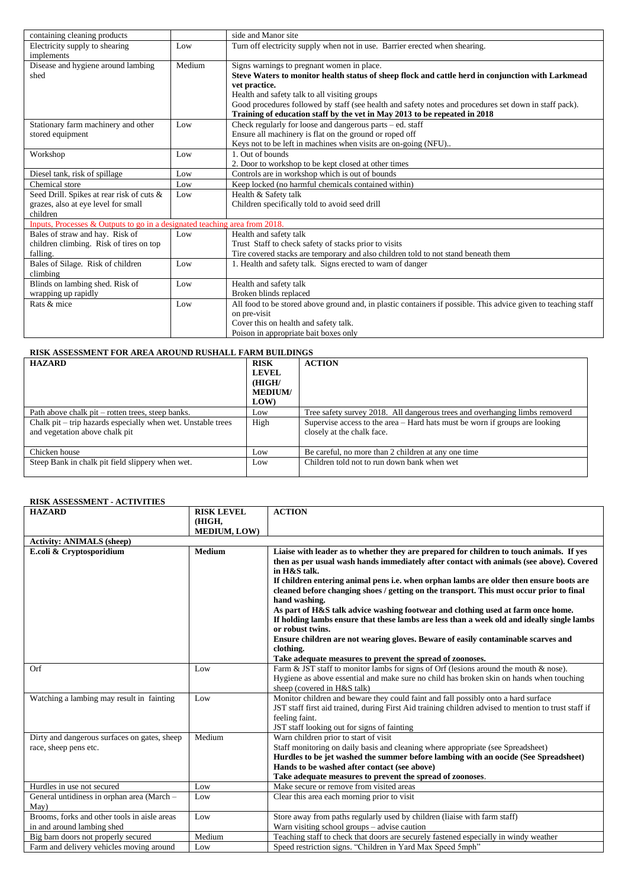| containing cleaning products                                               |        | side and Manor site                                                                                            |
|----------------------------------------------------------------------------|--------|----------------------------------------------------------------------------------------------------------------|
| Electricity supply to shearing                                             | Low    | Turn off electricity supply when not in use. Barrier erected when shearing.                                    |
| implements                                                                 |        |                                                                                                                |
| Disease and hygiene around lambing                                         | Medium | Signs warnings to pregnant women in place.                                                                     |
| shed                                                                       |        | Steve Waters to monitor health status of sheep flock and cattle herd in conjunction with Larkmead              |
|                                                                            |        | vet practice.                                                                                                  |
|                                                                            |        | Health and safety talk to all visiting groups                                                                  |
|                                                                            |        | Good procedures followed by staff (see health and safety notes and procedures set down in staff pack).         |
|                                                                            |        | Training of education staff by the vet in May 2013 to be repeated in 2018                                      |
| Stationary farm machinery and other                                        | Low    | Check regularly for loose and dangerous parts - ed. staff                                                      |
| stored equipment                                                           |        | Ensure all machinery is flat on the ground or roped off                                                        |
|                                                                            |        | Keys not to be left in machines when visits are on-going (NFU)                                                 |
| Workshop                                                                   | Low    | 1. Out of bounds                                                                                               |
|                                                                            |        | 2. Door to workshop to be kept closed at other times                                                           |
| Diesel tank, risk of spillage                                              | Low    | Controls are in workshop which is out of bounds                                                                |
| Chemical store                                                             | Low    | Keep locked (no harmful chemicals contained within)                                                            |
| Seed Drill. Spikes at rear risk of cuts &                                  | Low    | Health & Safety talk                                                                                           |
| grazes, also at eye level for small                                        |        | Children specifically told to avoid seed drill                                                                 |
| children                                                                   |        |                                                                                                                |
| Inputs, Processes & Outputs to go in a designated teaching area from 2018. |        |                                                                                                                |
| Bales of straw and hay. Risk of                                            | Low    | Health and safety talk                                                                                         |
| children climbing. Risk of tires on top                                    |        | Trust Staff to check safety of stacks prior to visits                                                          |
| falling.                                                                   |        | Tire covered stacks are temporary and also children told to not stand beneath them                             |
| Bales of Silage. Risk of children                                          | Low    | 1. Health and safety talk. Signs erected to warn of danger                                                     |
| climbing                                                                   |        |                                                                                                                |
| Blinds on lambing shed. Risk of                                            | Low    | Health and safety talk                                                                                         |
| wrapping up rapidly                                                        |        | Broken blinds replaced                                                                                         |
| Rats & mice                                                                | Low    | All food to be stored above ground and, in plastic containers if possible. This advice given to teaching staff |
|                                                                            |        | on pre-visit                                                                                                   |
|                                                                            |        | Cover this on health and safety talk.                                                                          |
|                                                                            |        | Poison in appropriate bait boxes only                                                                          |

| <b>RISK ASSESSMENT FOR AREA AROUND RUSHALL FARM BUILDINGS</b> |                |                                                                               |
|---------------------------------------------------------------|----------------|-------------------------------------------------------------------------------|
| <b>HAZARD</b>                                                 | <b>RISK</b>    | <b>ACTION</b>                                                                 |
|                                                               | <b>LEVEL</b>   |                                                                               |
|                                                               | (HIGH/         |                                                                               |
|                                                               | <b>MEDIUM/</b> |                                                                               |
|                                                               | LOW)           |                                                                               |
| Path above chalk pit – rotten trees, steep banks.             | Low            | Tree safety survey 2018. All dangerous trees and overhanging limbs removerd   |
| Chalk pit – trip hazards especially when wet. Unstable trees  | High           | Supervise access to the area $-$ Hard hats must be worn if groups are looking |
| and vegetation above chalk pit                                |                | closely at the chalk face.                                                    |
|                                                               |                |                                                                               |
| Chicken house                                                 | Low            | Be careful, no more than 2 children at any one time                           |
| Steep Bank in chalk pit field slippery when wet.              | Low            | Children told not to run down bank when wet                                   |
|                                                               |                |                                                                               |

| <b>RISK ASSESSMENT - ACTIVITIES</b> |  |
|-------------------------------------|--|
|-------------------------------------|--|

| <b>HAZARD</b>                                                              | <b>RISK LEVEL</b><br>(HIGH, | <b>ACTION</b>                                                                                                                                                                                                                                                                                                                                                                                                                                                                                                                                                                                                                                                                                                                                                                     |
|----------------------------------------------------------------------------|-----------------------------|-----------------------------------------------------------------------------------------------------------------------------------------------------------------------------------------------------------------------------------------------------------------------------------------------------------------------------------------------------------------------------------------------------------------------------------------------------------------------------------------------------------------------------------------------------------------------------------------------------------------------------------------------------------------------------------------------------------------------------------------------------------------------------------|
|                                                                            | <b>MEDIUM, LOW)</b>         |                                                                                                                                                                                                                                                                                                                                                                                                                                                                                                                                                                                                                                                                                                                                                                                   |
| <b>Activity: ANIMALS (sheep)</b>                                           |                             |                                                                                                                                                                                                                                                                                                                                                                                                                                                                                                                                                                                                                                                                                                                                                                                   |
| E.coli & Cryptosporidium                                                   | <b>Medium</b>               | Liaise with leader as to whether they are prepared for children to touch animals. If yes<br>then as per usual wash hands immediately after contact with animals (see above). Covered<br>in H&S talk.<br>If children entering animal pens i.e. when orphan lambs are older then ensure boots are<br>cleaned before changing shoes / getting on the transport. This must occur prior to final<br>hand washing.<br>As part of H&S talk advice washing footwear and clothing used at farm once home.<br>If holding lambs ensure that these lambs are less than a week old and ideally single lambs<br>or robust twins.<br>Ensure children are not wearing gloves. Beware of easily contaminable scarves and<br>clothing.<br>Take adequate measures to prevent the spread of zoonoses. |
| Orf                                                                        | Low                         | Farm & JST staff to monitor lambs for signs of Orf (lesions around the mouth & nose).<br>Hygiene as above essential and make sure no child has broken skin on hands when touching<br>sheep (covered in H&S talk)                                                                                                                                                                                                                                                                                                                                                                                                                                                                                                                                                                  |
| Watching a lambing may result in fainting                                  | Low                         | Monitor children and beware they could faint and fall possibly onto a hard surface<br>JST staff first aid trained, during First Aid training children advised to mention to trust staff if<br>feeling faint.<br>JST staff looking out for signs of fainting                                                                                                                                                                                                                                                                                                                                                                                                                                                                                                                       |
| Dirty and dangerous surfaces on gates, sheep<br>race, sheep pens etc.      | Medium                      | Warn children prior to start of visit<br>Staff monitoring on daily basis and cleaning where appropriate (see Spreadsheet)<br>Hurdles to be jet washed the summer before lambing with an oocide (See Spreadsheet)<br>Hands to be washed after contact (see above)<br>Take adequate measures to prevent the spread of zoonoses.                                                                                                                                                                                                                                                                                                                                                                                                                                                     |
| Hurdles in use not secured                                                 | Low                         | Make secure or remove from visited areas                                                                                                                                                                                                                                                                                                                                                                                                                                                                                                                                                                                                                                                                                                                                          |
| General untidiness in orphan area (March -<br>May)                         | Low                         | Clear this area each morning prior to visit                                                                                                                                                                                                                                                                                                                                                                                                                                                                                                                                                                                                                                                                                                                                       |
| Brooms, forks and other tools in aisle areas<br>in and around lambing shed | Low                         | Store away from paths regularly used by children (liaise with farm staff)<br>Warn visiting school groups – advise caution                                                                                                                                                                                                                                                                                                                                                                                                                                                                                                                                                                                                                                                         |
| Big barn doors not properly secured                                        | Medium                      | Teaching staff to check that doors are securely fastened especially in windy weather                                                                                                                                                                                                                                                                                                                                                                                                                                                                                                                                                                                                                                                                                              |
| Farm and delivery vehicles moving around                                   | Low                         | Speed restriction signs. "Children in Yard Max Speed 5mph"                                                                                                                                                                                                                                                                                                                                                                                                                                                                                                                                                                                                                                                                                                                        |